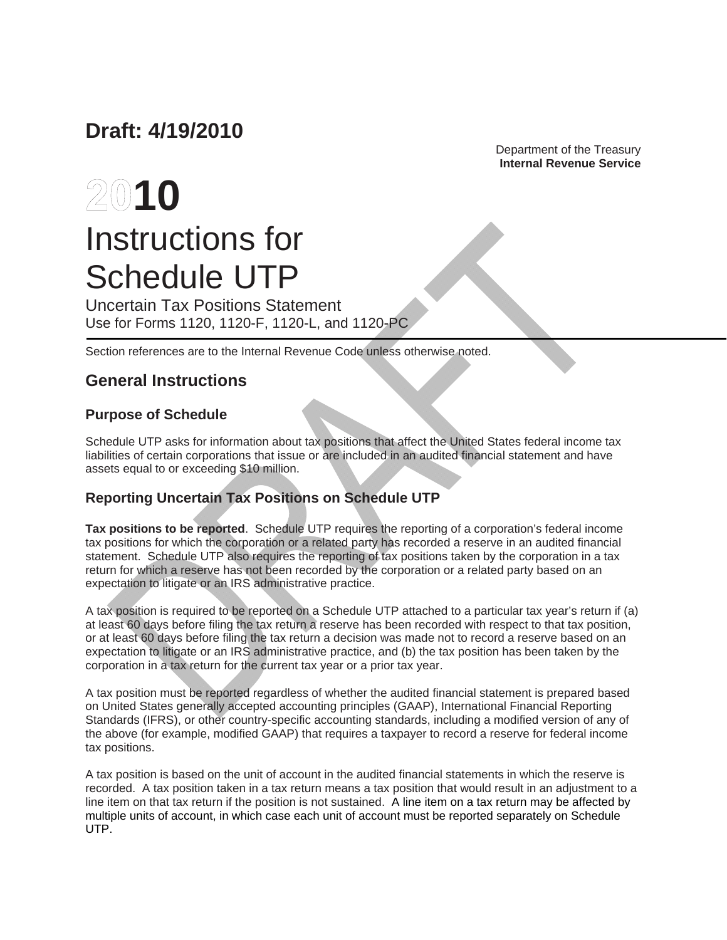# **Draft: 4/19/2010**

 Department of the Treasury **Internal Revenue Service** 

# **2010** Instructions for Schedule UTP

Uncertain Tax Positions Statement Use for Forms 1120, 1120-F, 1120-L, and 1120-PC

Section references are to the Internal Revenue Code unless otherwise noted.

# **General Instructions**

# **Purpose of Schedule**

Schedule UTP asks for information about tax positions that affect the United States federal income tax liabilities of certain corporations that issue or are included in an audited financial statement and have assets equal to or exceeding \$10 million.

# **Reporting Uncertain Tax Positions on Schedule UTP**

**Tax positions to be reported**. Schedule UTP requires the reporting of a corporation's federal income tax positions for which the corporation or a related party has recorded a reserve in an audited financial statement. Schedule UTP also requires the reporting of tax positions taken by the corporation in a tax return for which a reserve has not been recorded by the corporation or a related party based on an expectation to litigate or an IRS administrative practice.

A tax position is required to be reported on a Schedule UTP attached to a particular tax year's return if (a) at least 60 days before filing the tax return a reserve has been recorded with respect to that tax position, or at least 60 days before filing the tax return a decision was made not to record a reserve based on an expectation to litigate or an IRS administrative practice, and (b) the tax position has been taken by the corporation in a tax return for the current tax year or a prior tax year.

A tax position must be reported regardless of whether the audited financial statement is prepared based on United States generally accepted accounting principles (GAAP), International Financial Reporting Standards (IFRS), or other country-specific accounting standards, including a modified version of any of the above (for example, modified GAAP) that requires a taxpayer to record a reserve for federal income tax positions.

A tax position is based on the unit of account in the audited financial statements in which the reserve is recorded. A tax position taken in a tax return means a tax position that would result in an adjustment to a line item on that tax return if the position is not sustained. A line item on a tax return may be affected by multiple units of account, in which case each unit of account must be reported separately on Schedule UTP.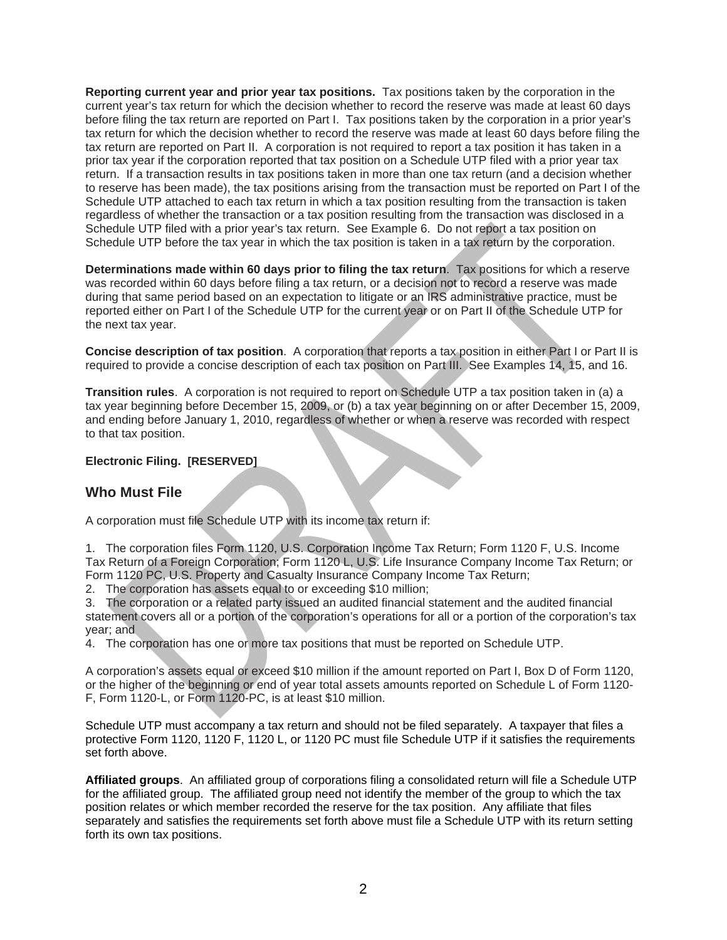**Reporting current year and prior year tax positions.** Tax positions taken by the corporation in the current year's tax return for which the decision whether to record the reserve was made at least 60 days before filing the tax return are reported on Part I. Tax positions taken by the corporation in a prior year's tax return for which the decision whether to record the reserve was made at least 60 days before filing the tax return are reported on Part II. A corporation is not required to report a tax position it has taken in a prior tax year if the corporation reported that tax position on a Schedule UTP filed with a prior year tax return. If a transaction results in tax positions taken in more than one tax return (and a decision whether to reserve has been made), the tax positions arising from the transaction must be reported on Part I of the Schedule UTP attached to each tax return in which a tax position resulting from the transaction is taken regardless of whether the transaction or a tax position resulting from the transaction was disclosed in a Schedule UTP filed with a prior year's tax return. See Example 6. Do not report a tax position on Schedule UTP before the tax year in which the tax position is taken in a tax return by the corporation.

**Determinations made within 60 days prior to filing the tax return**. Tax positions for which a reserve was recorded within 60 days before filing a tax return, or a decision not to record a reserve was made during that same period based on an expectation to litigate or an IRS administrative practice, must be reported either on Part I of the Schedule UTP for the current year or on Part II of the Schedule UTP for the next tax year.

**Concise description of tax position**. A corporation that reports a tax position in either Part I or Part II is required to provide a concise description of each tax position on Part III. See Examples 14, 15, and 16.

**Transition rules**. A corporation is not required to report on Schedule UTP a tax position taken in (a) a tax year beginning before December 15, 2009, or (b) a tax year beginning on or after December 15, 2009, and ending before January 1, 2010, regardless of whether or when a reserve was recorded with respect to that tax position.

#### **Electronic Filing. [RESERVED]**

## **Who Must File**

A corporation must file Schedule UTP with its income tax return if:

1. The corporation files Form 1120, U.S. Corporation Income Tax Return; Form 1120 F, U.S. Income Tax Return of a Foreign Corporation; Form 1120 L, U.S. Life Insurance Company Income Tax Return; or Form 1120 PC, U.S. Property and Casualty Insurance Company Income Tax Return;

2. The corporation has assets equal to or exceeding \$10 million;

3. The corporation or a related party issued an audited financial statement and the audited financial statement covers all or a portion of the corporation's operations for all or a portion of the corporation's tax year; and

4. The corporation has one or more tax positions that must be reported on Schedule UTP.

A corporation's assets equal or exceed \$10 million if the amount reported on Part I, Box D of Form 1120, or the higher of the beginning or end of year total assets amounts reported on Schedule L of Form 1120- F, Form 1120-L, or Form 1120-PC, is at least \$10 million.

Schedule UTP must accompany a tax return and should not be filed separately. A taxpayer that files a protective Form 1120, 1120 F, 1120 L, or 1120 PC must file Schedule UTP if it satisfies the requirements set forth above.

**Affiliated groups**. An affiliated group of corporations filing a consolidated return will file a Schedule UTP for the affiliated group. The affiliated group need not identify the member of the group to which the tax position relates or which member recorded the reserve for the tax position. Any affiliate that files separately and satisfies the requirements set forth above must file a Schedule UTP with its return setting forth its own tax positions.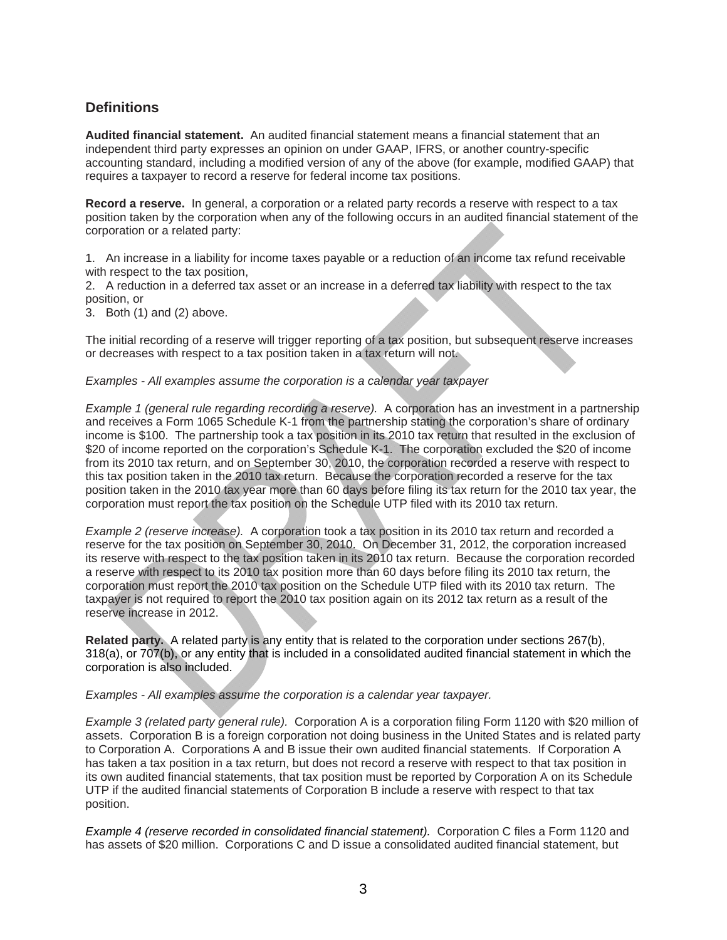## **Definitions**

**Audited financial statement.** An audited financial statement means a financial statement that an independent third party expresses an opinion on under GAAP, IFRS, or another country-specific accounting standard, including a modified version of any of the above (for example, modified GAAP) that requires a taxpayer to record a reserve for federal income tax positions.

**Record a reserve.** In general, a corporation or a related party records a reserve with respect to a tax position taken by the corporation when any of the following occurs in an audited financial statement of the corporation or a related party:

1. An increase in a liability for income taxes payable or a reduction of an income tax refund receivable with respect to the tax position,

2. A reduction in a deferred tax asset or an increase in a deferred tax liability with respect to the tax position, or

3. Both (1) and (2) above.

The initial recording of a reserve will trigger reporting of a tax position, but subsequent reserve increases or decreases with respect to a tax position taken in a tax return will not.

#### *Examples - All examples assume the corporation is a calendar year taxpayer*

*Example 1 (general rule regarding recording a reserve).* A corporation has an investment in a partnership and receives a Form 1065 Schedule K-1 from the partnership stating the corporation's share of ordinary income is \$100. The partnership took a tax position in its 2010 tax return that resulted in the exclusion of \$20 of income reported on the corporation's Schedule K-1. The corporation excluded the \$20 of income from its 2010 tax return, and on September 30, 2010, the corporation recorded a reserve with respect to this tax position taken in the 2010 tax return. Because the corporation recorded a reserve for the tax position taken in the 2010 tax year more than 60 days before filing its tax return for the 2010 tax year, the corporation must report the tax position on the Schedule UTP filed with its 2010 tax return.

*Example 2 (reserve increase).* A corporation took a tax position in its 2010 tax return and recorded a reserve for the tax position on September 30, 2010. On December 31, 2012, the corporation increased its reserve with respect to the tax position taken in its 2010 tax return. Because the corporation recorded a reserve with respect to its 2010 tax position more than 60 days before filing its 2010 tax return, the corporation must report the 2010 tax position on the Schedule UTP filed with its 2010 tax return. The taxpayer is not required to report the 2010 tax position again on its 2012 tax return as a result of the reserve increase in 2012.

**Related party.** A related party is any entity that is related to the corporation under sections 267(b), 318(a), or 707(b), or any entity that is included in a consolidated audited financial statement in which the corporation is also included.

*Examples - All examples assume the corporation is a calendar year taxpayer.*

*Example 3 (related party general rule).* Corporation A is a corporation filing Form 1120 with \$20 million of assets. Corporation B is a foreign corporation not doing business in the United States and is related party to Corporation A. Corporations A and B issue their own audited financial statements. If Corporation A has taken a tax position in a tax return, but does not record a reserve with respect to that tax position in its own audited financial statements, that tax position must be reported by Corporation A on its Schedule UTP if the audited financial statements of Corporation B include a reserve with respect to that tax position.

*Example 4 (reserve recorded in consolidated financial statement).* Corporation C files a Form 1120 and has assets of \$20 million. Corporations C and D issue a consolidated audited financial statement, but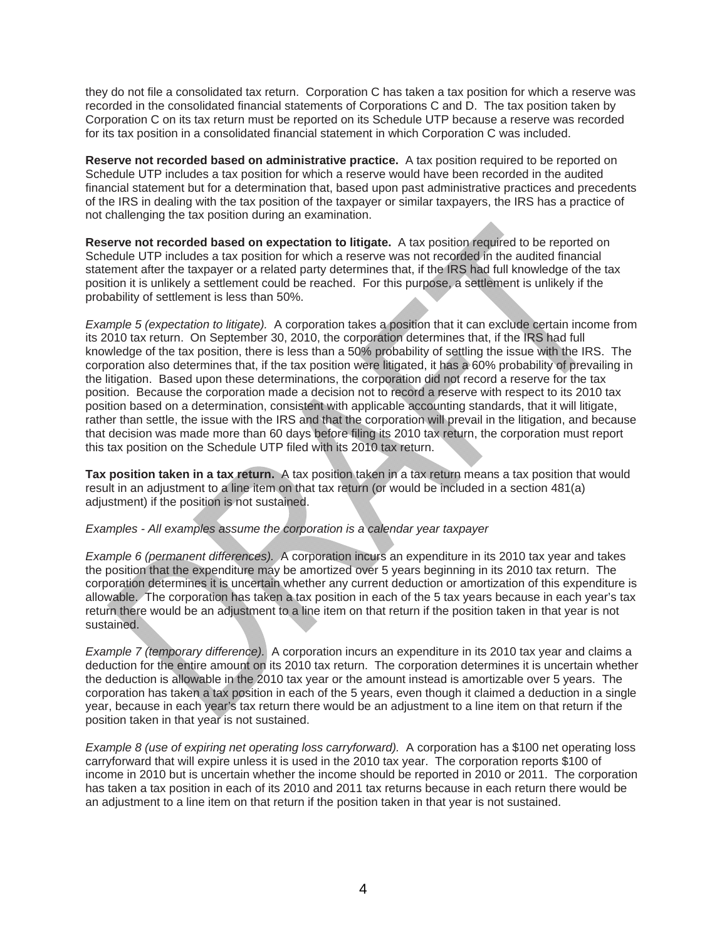they do not file a consolidated tax return. Corporation C has taken a tax position for which a reserve was recorded in the consolidated financial statements of Corporations C and D. The tax position taken by Corporation C on its tax return must be reported on its Schedule UTP because a reserve was recorded for its tax position in a consolidated financial statement in which Corporation C was included.

**Reserve not recorded based on administrative practice.** A tax position required to be reported on Schedule UTP includes a tax position for which a reserve would have been recorded in the audited financial statement but for a determination that, based upon past administrative practices and precedents of the IRS in dealing with the tax position of the taxpayer or similar taxpayers, the IRS has a practice of not challenging the tax position during an examination.

**Reserve not recorded based on expectation to litigate.** A tax position required to be reported on Schedule UTP includes a tax position for which a reserve was not recorded in the audited financial statement after the taxpayer or a related party determines that, if the IRS had full knowledge of the tax position it is unlikely a settlement could be reached. For this purpose, a settlement is unlikely if the probability of settlement is less than 50%.

*Example 5 (expectation to litigate).* A corporation takes a position that it can exclude certain income from its 2010 tax return. On September 30, 2010, the corporation determines that, if the IRS had full knowledge of the tax position, there is less than a 50% probability of settling the issue with the IRS. The corporation also determines that, if the tax position were litigated, it has a 60% probability of prevailing in the litigation. Based upon these determinations, the corporation did not record a reserve for the tax position. Because the corporation made a decision not to record a reserve with respect to its 2010 tax position based on a determination, consistent with applicable accounting standards, that it will litigate, rather than settle, the issue with the IRS and that the corporation will prevail in the litigation, and because that decision was made more than 60 days before filing its 2010 tax return, the corporation must report this tax position on the Schedule UTP filed with its 2010 tax return.

**Tax position taken in a tax return.** A tax position taken in a tax return means a tax position that would result in an adjustment to a line item on that tax return (or would be included in a section 481(a) adjustment) if the position is not sustained.

#### *Examples - All examples assume the corporation is a calendar year taxpayer*

*Example 6 (permanent differences).* A corporation incurs an expenditure in its 2010 tax year and takes the position that the expenditure may be amortized over 5 years beginning in its 2010 tax return. The corporation determines it is uncertain whether any current deduction or amortization of this expenditure is allowable. The corporation has taken a tax position in each of the 5 tax years because in each year's tax return there would be an adjustment to a line item on that return if the position taken in that year is not sustained.

*Example 7 (temporary difference).* A corporation incurs an expenditure in its 2010 tax year and claims a deduction for the entire amount on its 2010 tax return. The corporation determines it is uncertain whether the deduction is allowable in the 2010 tax year or the amount instead is amortizable over 5 years. The corporation has taken a tax position in each of the 5 years, even though it claimed a deduction in a single year, because in each year's tax return there would be an adjustment to a line item on that return if the position taken in that year is not sustained.

*Example 8 (use of expiring net operating loss carryforward).* A corporation has a \$100 net operating loss carryforward that will expire unless it is used in the 2010 tax year. The corporation reports \$100 of income in 2010 but is uncertain whether the income should be reported in 2010 or 2011. The corporation has taken a tax position in each of its 2010 and 2011 tax returns because in each return there would be an adjustment to a line item on that return if the position taken in that year is not sustained.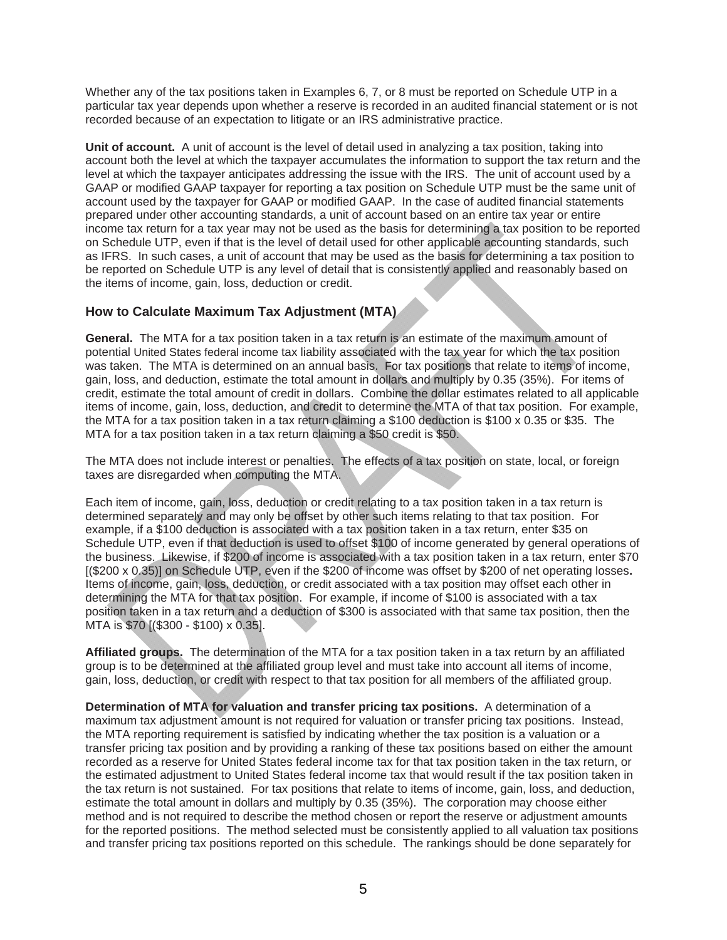Whether any of the tax positions taken in Examples 6, 7, or 8 must be reported on Schedule UTP in a particular tax year depends upon whether a reserve is recorded in an audited financial statement or is not recorded because of an expectation to litigate or an IRS administrative practice.

**Unit of account.** A unit of account is the level of detail used in analyzing a tax position, taking into account both the level at which the taxpayer accumulates the information to support the tax return and the level at which the taxpayer anticipates addressing the issue with the IRS. The unit of account used by a GAAP or modified GAAP taxpayer for reporting a tax position on Schedule UTP must be the same unit of account used by the taxpayer for GAAP or modified GAAP. In the case of audited financial statements prepared under other accounting standards, a unit of account based on an entire tax year or entire income tax return for a tax year may not be used as the basis for determining a tax position to be reported on Schedule UTP, even if that is the level of detail used for other applicable accounting standards, such as IFRS. In such cases, a unit of account that may be used as the basis for determining a tax position to be reported on Schedule UTP is any level of detail that is consistently applied and reasonably based on the items of income, gain, loss, deduction or credit.

#### **How to Calculate Maximum Tax Adjustment (MTA)**

**General.** The MTA for a tax position taken in a tax return is an estimate of the maximum amount of potential United States federal income tax liability associated with the tax year for which the tax position was taken. The MTA is determined on an annual basis. For tax positions that relate to items of income, gain, loss, and deduction, estimate the total amount in dollars and multiply by 0.35 (35%). For items of credit, estimate the total amount of credit in dollars. Combine the dollar estimates related to all applicable items of income, gain, loss, deduction, and credit to determine the MTA of that tax position. For example, the MTA for a tax position taken in a tax return claiming a \$100 deduction is \$100 x 0.35 or \$35. The MTA for a tax position taken in a tax return claiming a \$50 credit is \$50.

The MTA does not include interest or penalties. The effects of a tax position on state, local, or foreign taxes are disregarded when computing the MTA.

Each item of income, gain, loss, deduction or credit relating to a tax position taken in a tax return is determined separately and may only be offset by other such items relating to that tax position. For example, if a \$100 deduction is associated with a tax position taken in a tax return, enter \$35 on Schedule UTP, even if that deduction is used to offset \$100 of income generated by general operations of the business. Likewise, if \$200 of income is associated with a tax position taken in a tax return, enter \$70 [(\$200 x 0.35)] on Schedule UTP, even if the \$200 of income was offset by \$200 of net operating losses**.**  Items of income, gain, loss, deduction, or credit associated with a tax position may offset each other in determining the MTA for that tax position. For example, if income of \$100 is associated with a tax position taken in a tax return and a deduction of \$300 is associated with that same tax position, then the MTA is \$70 [(\$300 - \$100) x 0.35].

**Affiliated groups.** The determination of the MTA for a tax position taken in a tax return by an affiliated group is to be determined at the affiliated group level and must take into account all items of income, gain, loss, deduction, or credit with respect to that tax position for all members of the affiliated group.

**Determination of MTA for valuation and transfer pricing tax positions.** A determination of a maximum tax adjustment amount is not required for valuation or transfer pricing tax positions. Instead, the MTA reporting requirement is satisfied by indicating whether the tax position is a valuation or a transfer pricing tax position and by providing a ranking of these tax positions based on either the amount recorded as a reserve for United States federal income tax for that tax position taken in the tax return, or the estimated adjustment to United States federal income tax that would result if the tax position taken in the tax return is not sustained. For tax positions that relate to items of income, gain, loss, and deduction, estimate the total amount in dollars and multiply by 0.35 (35%). The corporation may choose either method and is not required to describe the method chosen or report the reserve or adjustment amounts for the reported positions. The method selected must be consistently applied to all valuation tax positions and transfer pricing tax positions reported on this schedule. The rankings should be done separately for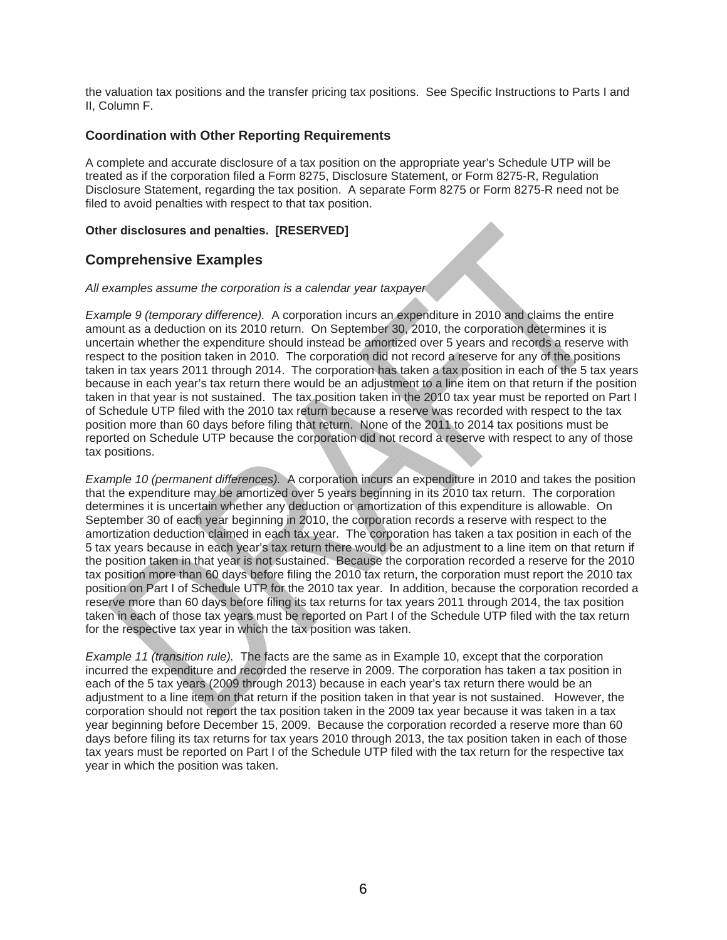the valuation tax positions and the transfer pricing tax positions. See Specific Instructions to Parts I and II, Column F.

#### **Coordination with Other Reporting Requirements**

A complete and accurate disclosure of a tax position on the appropriate year's Schedule UTP will be treated as if the corporation filed a Form 8275, Disclosure Statement, or Form 8275-R, Regulation Disclosure Statement, regarding the tax position. A separate Form 8275 or Form 8275-R need not be filed to avoid penalties with respect to that tax position.

#### **Other disclosures and penalties. [RESERVED]**

## **Comprehensive Examples**

#### *All examples assume the corporation is a calendar year taxpayer*

*Example 9 (temporary difference).* A corporation incurs an expenditure in 2010 and claims the entire amount as a deduction on its 2010 return. On September 30, 2010, the corporation determines it is uncertain whether the expenditure should instead be amortized over 5 years and records a reserve with respect to the position taken in 2010. The corporation did not record a reserve for any of the positions taken in tax years 2011 through 2014. The corporation has taken a tax position in each of the 5 tax years because in each year's tax return there would be an adjustment to a line item on that return if the position taken in that year is not sustained. The tax position taken in the 2010 tax year must be reported on Part I of Schedule UTP filed with the 2010 tax return because a reserve was recorded with respect to the tax position more than 60 days before filing that return. None of the 2011 to 2014 tax positions must be reported on Schedule UTP because the corporation did not record a reserve with respect to any of those tax positions.

*Example 10 (permanent differences).* A corporation incurs an expenditure in 2010 and takes the position that the expenditure may be amortized over 5 years beginning in its 2010 tax return. The corporation determines it is uncertain whether any deduction or amortization of this expenditure is allowable. On September 30 of each year beginning in 2010, the corporation records a reserve with respect to the amortization deduction claimed in each tax year. The corporation has taken a tax position in each of the 5 tax years because in each year's tax return there would be an adjustment to a line item on that return if the position taken in that year is not sustained. Because the corporation recorded a reserve for the 2010 tax position more than 60 days before filing the 2010 tax return, the corporation must report the 2010 tax position on Part I of Schedule UTP for the 2010 tax year. In addition, because the corporation recorded a reserve more than 60 days before filing its tax returns for tax years 2011 through 2014, the tax position taken in each of those tax years must be reported on Part I of the Schedule UTP filed with the tax return for the respective tax year in which the tax position was taken.

*Example 11 (transition rule).* The facts are the same as in Example 10, except that the corporation incurred the expenditure and recorded the reserve in 2009. The corporation has taken a tax position in each of the 5 tax years (2009 through 2013) because in each year's tax return there would be an adjustment to a line item on that return if the position taken in that year is not sustained. However, the corporation should not report the tax position taken in the 2009 tax year because it was taken in a tax year beginning before December 15, 2009. Because the corporation recorded a reserve more than 60 days before filing its tax returns for tax years 2010 through 2013, the tax position taken in each of those tax years must be reported on Part I of the Schedule UTP filed with the tax return for the respective tax year in which the position was taken.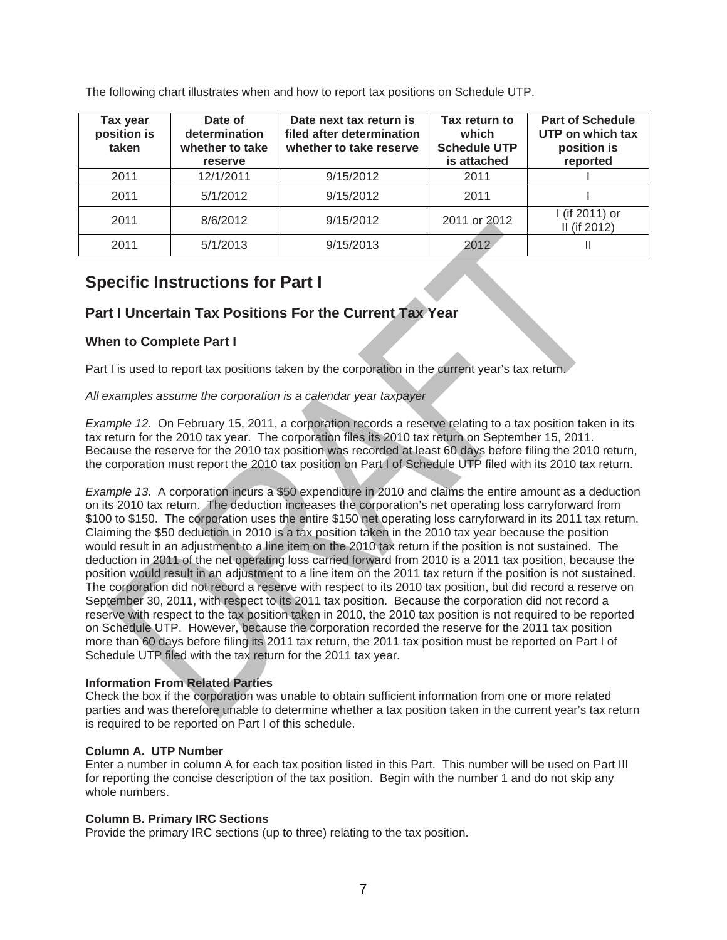| Tax year<br>position is<br>taken | Date of<br>determination<br>whether to take<br>reserve | Date next tax return is<br>filed after determination<br>whether to take reserve | Tax return to<br>which<br><b>Schedule UTP</b><br>is attached | <b>Part of Schedule</b><br>UTP on which tax<br>position is<br>reported |
|----------------------------------|--------------------------------------------------------|---------------------------------------------------------------------------------|--------------------------------------------------------------|------------------------------------------------------------------------|
| 2011                             | 12/1/2011                                              | 9/15/2012                                                                       | 2011                                                         |                                                                        |
| 2011                             | 5/1/2012                                               | 9/15/2012                                                                       | 2011                                                         |                                                                        |
| 2011                             | 8/6/2012                                               | 9/15/2012                                                                       | 2011 or 2012                                                 | I (if 2011) or<br>II (if 2012)                                         |
| 2011                             | 5/1/2013                                               | 9/15/2013                                                                       | 2012                                                         |                                                                        |

The following chart illustrates when and how to report tax positions on Schedule UTP.

# **Specific Instructions for Part I**

# **Part I Uncertain Tax Positions For the Current Tax Year**

## **When to Complete Part I**

Part I is used to report tax positions taken by the corporation in the current year's tax return.

*All examples assume the corporation is a calendar year taxpayer* 

*Example 12.* On February 15, 2011, a corporation records a reserve relating to a tax position taken in its tax return for the 2010 tax year. The corporation files its 2010 tax return on September 15, 2011. Because the reserve for the 2010 tax position was recorded at least 60 days before filing the 2010 return, the corporation must report the 2010 tax position on Part I of Schedule UTP filed with its 2010 tax return.

*Example 13.* A corporation incurs a \$50 expenditure in 2010 and claims the entire amount as a deduction on its 2010 tax return. The deduction increases the corporation's net operating loss carryforward from \$100 to \$150. The corporation uses the entire \$150 net operating loss carryforward in its 2011 tax return. Claiming the \$50 deduction in 2010 is a tax position taken in the 2010 tax year because the position would result in an adjustment to a line item on the 2010 tax return if the position is not sustained. The deduction in 2011 of the net operating loss carried forward from 2010 is a 2011 tax position, because the position would result in an adjustment to a line item on the 2011 tax return if the position is not sustained. The corporation did not record a reserve with respect to its 2010 tax position, but did record a reserve on September 30, 2011, with respect to its 2011 tax position. Because the corporation did not record a reserve with respect to the tax position taken in 2010, the 2010 tax position is not required to be reported on Schedule UTP. However, because the corporation recorded the reserve for the 2011 tax position more than 60 days before filing its 2011 tax return, the 2011 tax position must be reported on Part I of Schedule UTP filed with the tax return for the 2011 tax year.

#### **Information From Related Parties**

Check the box if the corporation was unable to obtain sufficient information from one or more related parties and was therefore unable to determine whether a tax position taken in the current year's tax return is required to be reported on Part I of this schedule.

#### **Column A. UTP Number**

Enter a number in column A for each tax position listed in this Part. This number will be used on Part III for reporting the concise description of the tax position. Begin with the number 1 and do not skip any whole numbers.

#### **Column B. Primary IRC Sections**

Provide the primary IRC sections (up to three) relating to the tax position.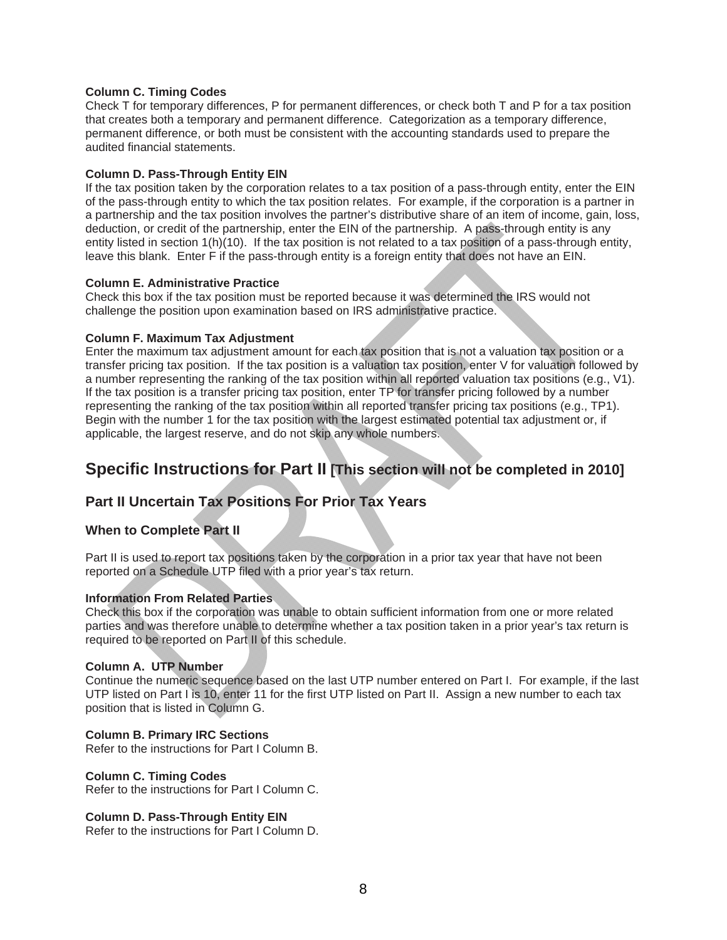#### **Column C. Timing Codes**

Check T for temporary differences, P for permanent differences, or check both T and P for a tax position that creates both a temporary and permanent difference. Categorization as a temporary difference, permanent difference, or both must be consistent with the accounting standards used to prepare the audited financial statements.

#### **Column D. Pass-Through Entity EIN**

If the tax position taken by the corporation relates to a tax position of a pass-through entity, enter the EIN of the pass-through entity to which the tax position relates. For example, if the corporation is a partner in a partnership and the tax position involves the partner's distributive share of an item of income, gain, loss, deduction, or credit of the partnership, enter the EIN of the partnership. A pass-through entity is any entity listed in section 1(h)(10). If the tax position is not related to a tax position of a pass-through entity, leave this blank. Enter F if the pass-through entity is a foreign entity that does not have an EIN.

#### **Column E. Administrative Practice**

Check this box if the tax position must be reported because it was determined the IRS would not challenge the position upon examination based on IRS administrative practice.

#### **Column F. Maximum Tax Adjustment**

Enter the maximum tax adjustment amount for each tax position that is not a valuation tax position or a transfer pricing tax position. If the tax position is a valuation tax position, enter V for valuation followed by a number representing the ranking of the tax position within all reported valuation tax positions (e.g., V1). If the tax position is a transfer pricing tax position, enter TP for transfer pricing followed by a number representing the ranking of the tax position within all reported transfer pricing tax positions (e.g., TP1). Begin with the number 1 for the tax position with the largest estimated potential tax adjustment or, if applicable, the largest reserve, and do not skip any whole numbers.

# **Specific Instructions for Part II [This section will not be completed in 2010]**

## **Part II Uncertain Tax Positions For Prior Tax Years**

#### **When to Complete Part II**

Part II is used to report tax positions taken by the corporation in a prior tax year that have not been reported on a Schedule UTP filed with a prior year's tax return.

#### **Information From Related Parties**

Check this box if the corporation was unable to obtain sufficient information from one or more related parties and was therefore unable to determine whether a tax position taken in a prior year's tax return is required to be reported on Part II of this schedule.

#### **Column A. UTP Number**

Continue the numeric sequence based on the last UTP number entered on Part I. For example, if the last UTP listed on Part I is 10, enter 11 for the first UTP listed on Part II. Assign a new number to each tax position that is listed in Column G.

#### **Column B. Primary IRC Sections**

Refer to the instructions for Part I Column B.

#### **Column C. Timing Codes**

Refer to the instructions for Part I Column C.

#### **Column D. Pass-Through Entity EIN**

Refer to the instructions for Part I Column D.